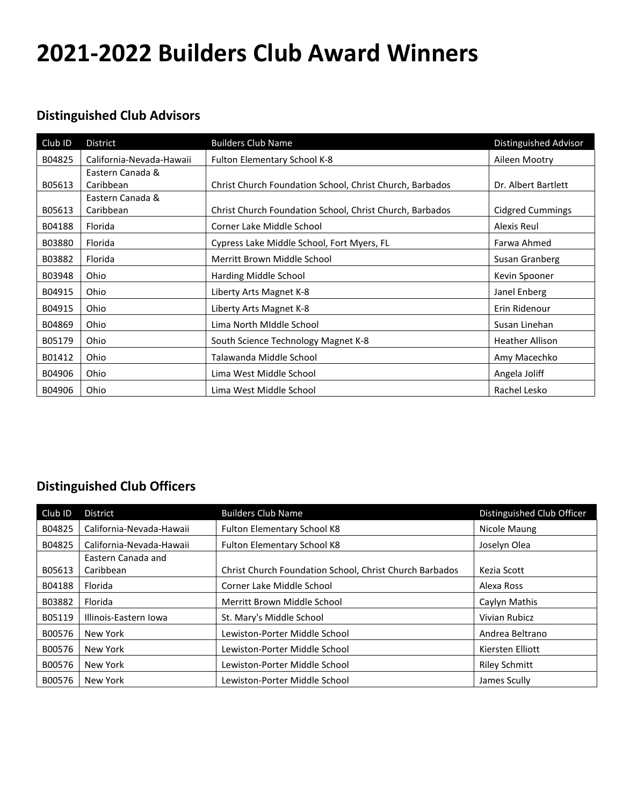## **2021-2022 Builders Club Award Winners**

## **Distinguished Club Advisors**

| Club ID | District                 | <b>Builders Club Name</b>                                | Distinguished Advisor   |
|---------|--------------------------|----------------------------------------------------------|-------------------------|
| B04825  | California-Nevada-Hawaii | Fulton Elementary School K-8                             | Aileen Mootry           |
|         | Eastern Canada &         |                                                          |                         |
| B05613  | Caribbean                | Christ Church Foundation School, Christ Church, Barbados | Dr. Albert Bartlett     |
|         | Eastern Canada &         |                                                          |                         |
| B05613  | Caribbean                | Christ Church Foundation School, Christ Church, Barbados | <b>Cidgred Cummings</b> |
| B04188  | Florida                  | Corner Lake Middle School                                | Alexis Reul             |
| B03880  | Florida                  | Cypress Lake Middle School, Fort Myers, FL               | Farwa Ahmed             |
| B03882  | Florida                  | Merritt Brown Middle School                              | Susan Granberg          |
| B03948  | Ohio                     | Harding Middle School                                    | Kevin Spooner           |
| B04915  | Ohio                     | Liberty Arts Magnet K-8                                  | Janel Enberg            |
| B04915  | Ohio                     | Liberty Arts Magnet K-8                                  | Erin Ridenour           |
| B04869  | Ohio                     | Lima North Middle School                                 | Susan Linehan           |
| B05179  | Ohio                     | South Science Technology Magnet K-8                      | <b>Heather Allison</b>  |
| B01412  | Ohio                     | Talawanda Middle School                                  | Amy Macechko            |
| B04906  | Ohio                     | Lima West Middle School                                  | Angela Joliff           |
| B04906  | Ohio                     | Lima West Middle School                                  | Rachel Lesko            |

## **Distinguished Club Officers**

| Club ID | <b>District</b>          | <b>Builders Club Name</b>                               | Distinguished Club Officer |
|---------|--------------------------|---------------------------------------------------------|----------------------------|
| B04825  | California-Nevada-Hawaii | <b>Fulton Elementary School K8</b>                      | Nicole Maung               |
| B04825  | California-Nevada-Hawaii | <b>Fulton Elementary School K8</b>                      | Joselyn Olea               |
|         | Eastern Canada and       |                                                         |                            |
| B05613  | Caribbean                | Christ Church Foundation School, Christ Church Barbados | Kezia Scott                |
| B04188  | Florida                  | Corner Lake Middle School                               | Alexa Ross                 |
| B03882  | Florida                  | Merritt Brown Middle School                             | Caylyn Mathis              |
| B05119  | Illinois-Eastern Iowa    | St. Mary's Middle School                                | Vivian Rubicz              |
| B00576  | New York                 | Lewiston-Porter Middle School                           | Andrea Beltrano            |
| B00576  | New York                 | Lewiston-Porter Middle School                           | Kiersten Elliott           |
| B00576  | New York                 | Lewiston-Porter Middle School                           | <b>Riley Schmitt</b>       |
| B00576  | New York                 | Lewiston-Porter Middle School                           | James Scully               |